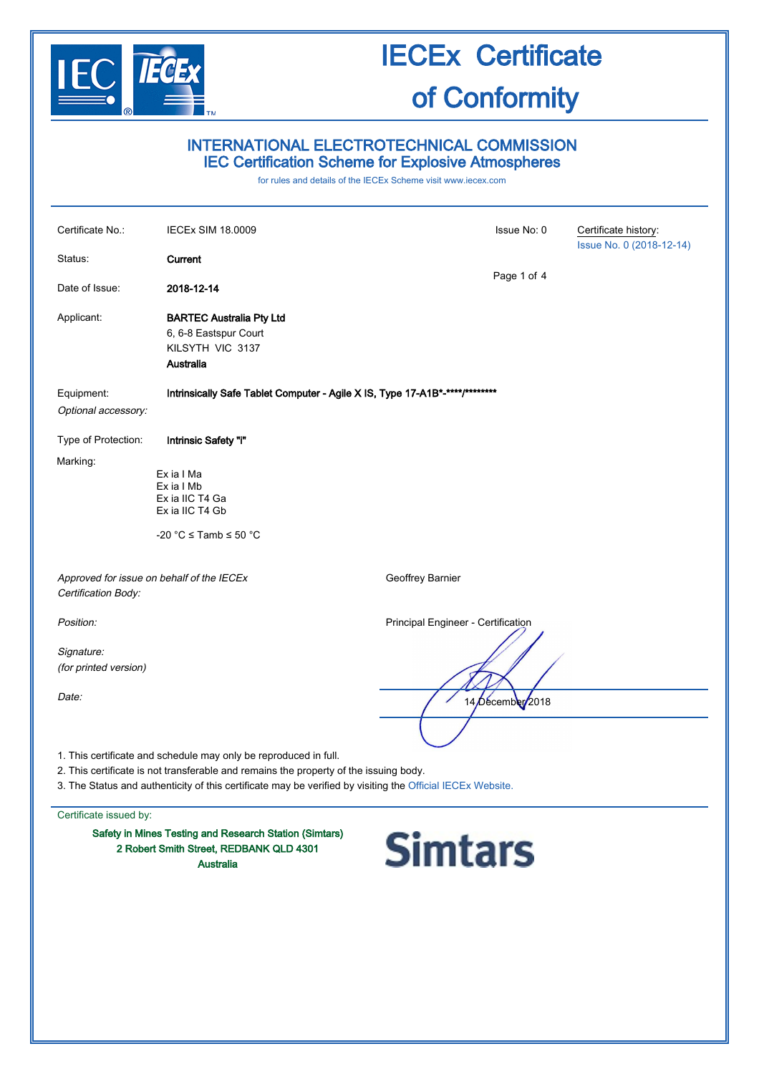

#### INTERNATIONAL ELECTROTECHNICAL COMMISSION IEC Certification Scheme for Explosive Atmospheres

for rules and details of the IECEx Scheme visit [www.iecex.com](http://www.iecex.com/)

| Certificate No.:                    | <b>IECEx SIM 18.0009</b>                                                                                                                                                                                                                                                | Issue No: 0                        | Certificate history:<br>Issue No. 0 (2018-12-14) |
|-------------------------------------|-------------------------------------------------------------------------------------------------------------------------------------------------------------------------------------------------------------------------------------------------------------------------|------------------------------------|--------------------------------------------------|
| Status:                             | Current                                                                                                                                                                                                                                                                 |                                    |                                                  |
| Date of Issue:                      | 2018-12-14                                                                                                                                                                                                                                                              | Page 1 of 4                        |                                                  |
| Applicant:                          | <b>BARTEC Australia Pty Ltd</b><br>6, 6-8 Eastspur Court<br>KILSYTH VIC 3137<br>Australia                                                                                                                                                                               |                                    |                                                  |
| Equipment:<br>Optional accessory:   | Intrinsically Safe Tablet Computer - Agile X IS, Type 17-A1B*-****/********                                                                                                                                                                                             |                                    |                                                  |
| Type of Protection:                 | Intrinsic Safety "i"                                                                                                                                                                                                                                                    |                                    |                                                  |
| Marking:                            | Ex ia I Ma<br>Ex ia I Mb<br>Ex ia IIC T4 Ga<br>Ex ia IIC T4 Gb<br>-20 °C $\le$ Tamb $\le$ 50 °C                                                                                                                                                                         |                                    |                                                  |
| Certification Body:                 | Approved for issue on behalf of the IECEx                                                                                                                                                                                                                               | Geoffrey Barnier                   |                                                  |
| Position:                           |                                                                                                                                                                                                                                                                         | Principal Engineer - Certification |                                                  |
| Signature:<br>(for printed version) |                                                                                                                                                                                                                                                                         |                                    |                                                  |
| Date:                               |                                                                                                                                                                                                                                                                         | 14/December 2018                   |                                                  |
|                                     | 1. This certificate and schedule may only be reproduced in full.<br>2. This certificate is not transferable and remains the property of the issuing body.<br>3. The Status and authenticity of this certificate may be verified by visiting the Official IECEx Website. |                                    |                                                  |
| Certificate issued by:              |                                                                                                                                                                                                                                                                         |                                    |                                                  |
|                                     | Safety in Mines Testing and Research Station (Simtars)<br>2 Robert Smith Street, REDBANK QLD 4301<br><b>Australia</b>                                                                                                                                                   | <b>Simtars</b>                     |                                                  |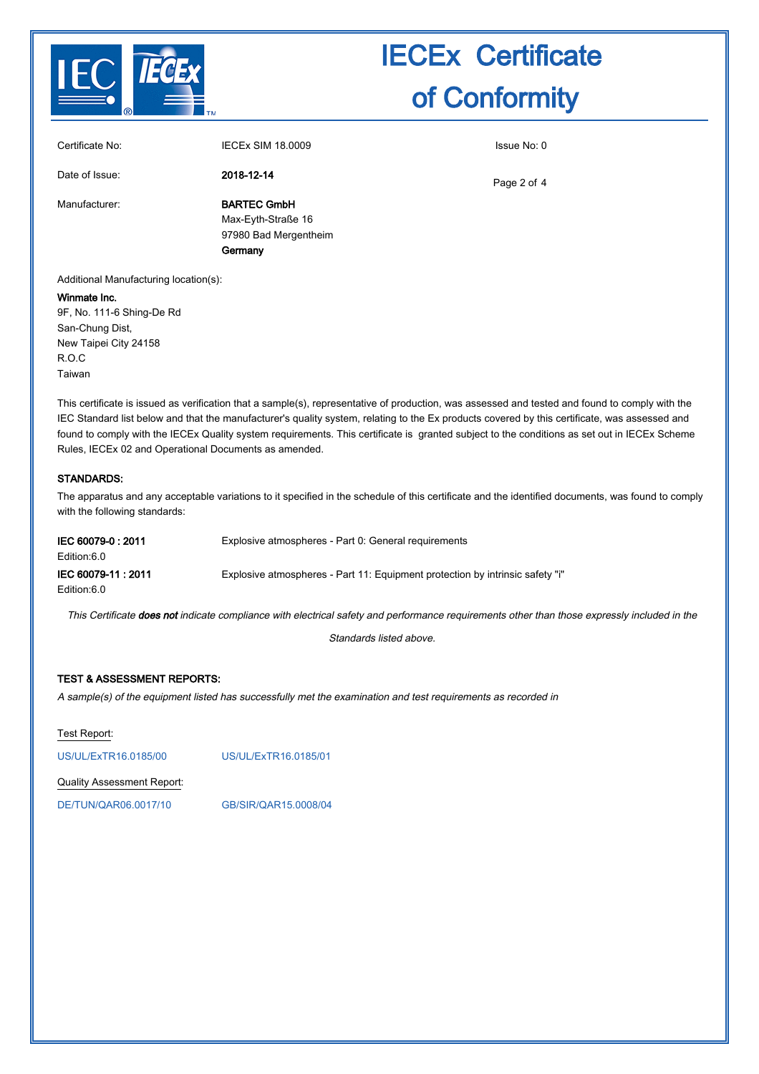

| Certificate No: | <b>IECEX SIM 18,0009</b>                                                     | Issue No: 0 |
|-----------------|------------------------------------------------------------------------------|-------------|
| Date of Issue:  | 2018-12-14                                                                   | Page 2 of 4 |
| Manufacturer:   | <b>BARTEC GmbH</b><br>Max-Eyth-Straße 16<br>97980 Bad Mergentheim<br>Germany |             |

Additional Manufacturing location(s):

#### Winmate Inc.

9F, No. 111-6 Shing-De Rd San-Chung Dist, New Taipei City 24158 R.O.C Taiwan

This certificate is issued as verification that a sample(s), representative of production, was assessed and tested and found to comply with the IEC Standard list below and that the manufacturer's quality system, relating to the Ex products covered by this certificate, was assessed and found to comply with the IECEx Quality system requirements. This certificate is granted subject to the conditions as set out in IECEx Scheme Rules, IECEx 02 and Operational Documents as amended.

#### STANDARDS:

The apparatus and any acceptable variations to it specified in the schedule of this certificate and the identified documents, was found to comply with the following standards:

| IEC 60079-0 : 2011<br>Edition:6.0 | Explosive atmospheres - Part 0: General requirements                          |
|-----------------------------------|-------------------------------------------------------------------------------|
| IEC 60079-11: 2011<br>Edition:6.0 | Explosive atmospheres - Part 11: Equipment protection by intrinsic safety "i" |

This Certificate does not indicate compliance with electrical safety and performance requirements other than those expressly included in the

Standards listed above.

#### TEST & ASSESSMENT REPORTS:

A sample(s) of the equipment listed has successfully met the examination and test requirements as recorded in

Test Report:

[US/UL/ExTR16.0185/00](http://iecex.iec.ch/extr/US.UL.ExTR16.0185.00) [US/UL/ExTR16.0185/01](http://iecex.iec.ch/extr/US.UL.ExTR16.0185.01)

Quality Assessment Report:

[DE/TUN/QAR06.0017/10](http://iecex.iec.ch/qar/DE.TUN.QAR06.0017.10) [GB/SIR/QAR15.0008/04](http://iecex.iec.ch/qar/GB.SIR.QAR15.0008.04)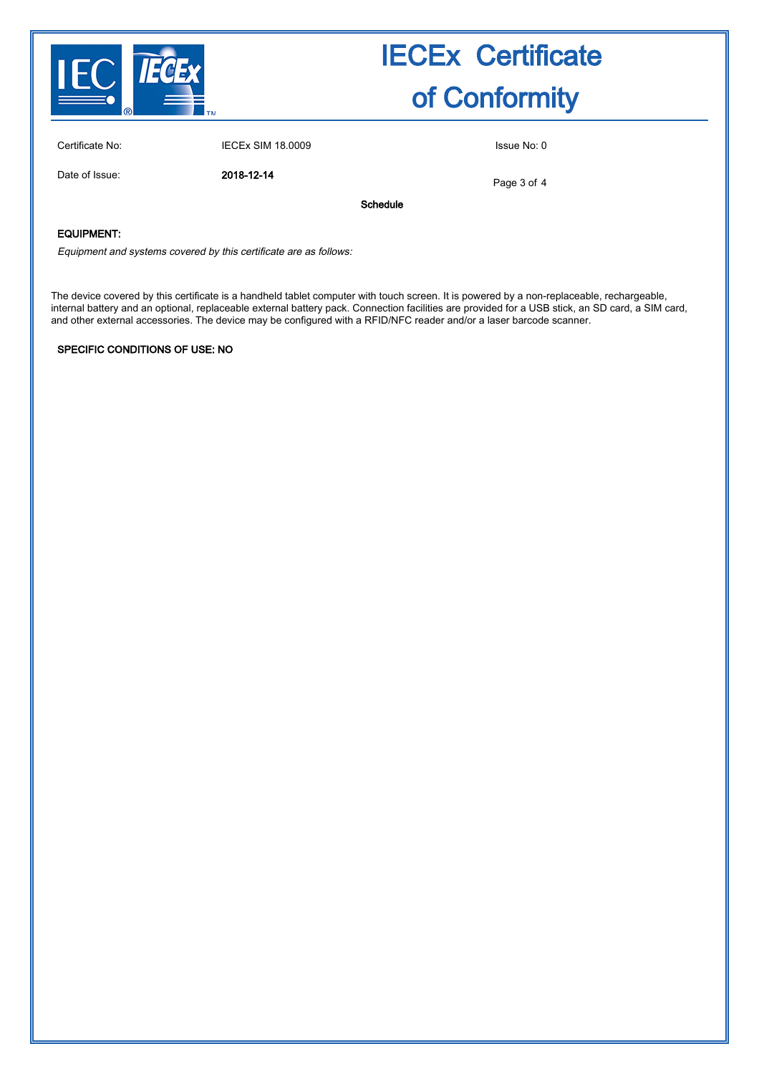

Certificate No: **IECEX SIM 18.0009** ISSUE No: 0

Date of Issue: 2018-12-14

Page 3 of 4

Schedule

#### EQUIPMENT:

Equipment and systems covered by this certificate are as follows:

The device covered by this certificate is a handheld tablet computer with touch screen. It is powered by a non-replaceable, rechargeable, internal battery and an optional, replaceable external battery pack. Connection facilities are provided for a USB stick, an SD card, a SIM card, and other external accessories. The device may be configured with a RFID/NFC reader and/or a laser barcode scanner.

#### SPECIFIC CONDITIONS OF USE: NO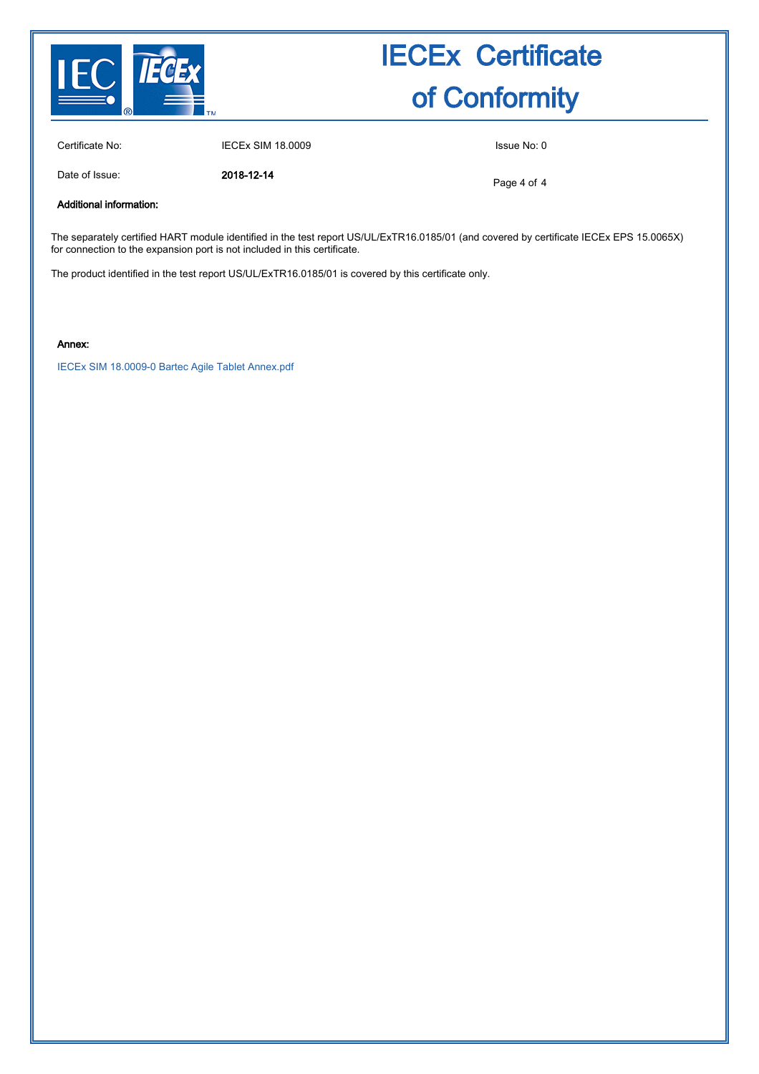

Certificate No: IECEx SIM 18.0009 Issue No: 0

Date of Issue: 2018-12-14

Page 4 of 4

Additional information:

The separately certified HART module identified in the test report US/UL/ExTR16.0185/01 (and covered by certificate IECEx EPS 15.0065X) for connection to the expansion port is not included in this certificate.

The product identified in the test report US/UL/ExTR16.0185/01 is covered by this certificate only.

Annex:

[IECEx SIM 18.0009-0 Bartec Agile Tablet Annex.pdf](http://iecex.iec.ch/cert/IECExSIM18.00090/$File/IECEx SIM 18.0009-0 Bartec Agile Tablet Annex.pdf)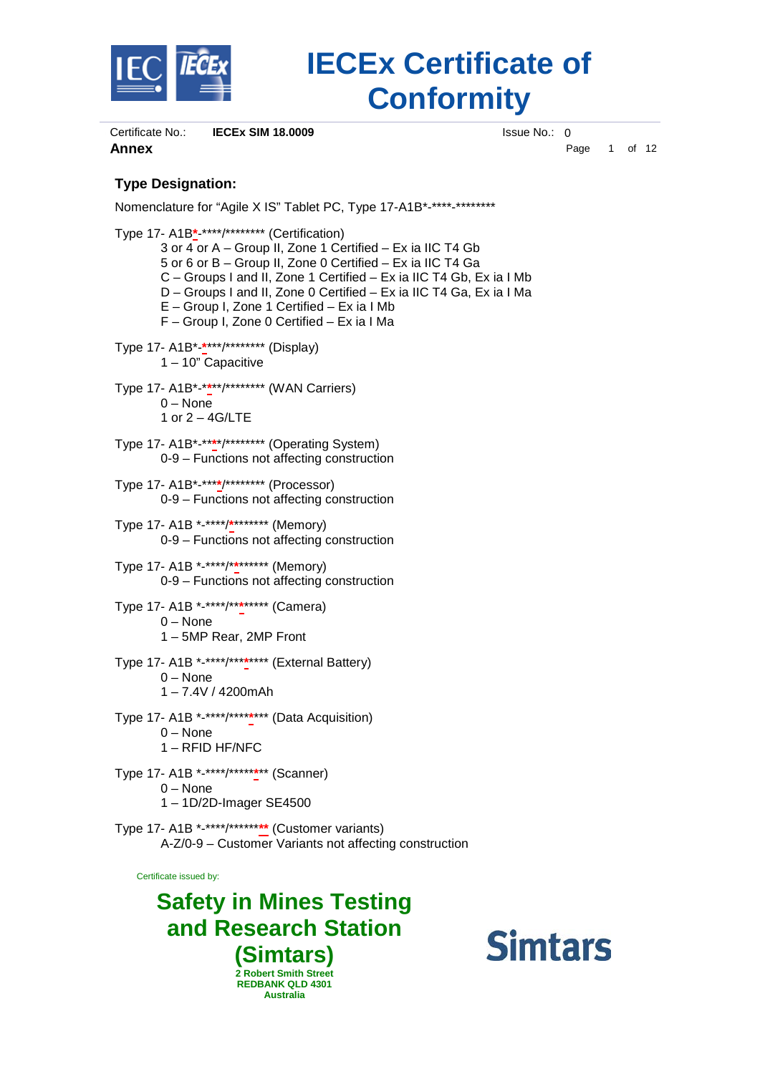

Certificate No.: **IECEx SIM 18.0009** ISSUE No.: 0 **Annex** Page 1 of 12

#### **Type Designation:**

Nomenclature for "Agile X IS" Tablet PC, Type 17-A1B\*-\*\*\*\*-\*\*\*\*\*\*\*\* Type 17- A1B**\***-\*\*\*\*/\*\*\*\*\*\*\*\* (Certification)

3 or 4 or A – Group II, Zone 1 Certified – Ex ia IIC T4 Gb 5 or 6 or B – Group II, Zone 0 Certified – Ex ia IIC T4 Ga C – Groups I and II, Zone 1 Certified – Ex ia IIC T4 Gb, Ex ia I Mb D – Groups I and II, Zone 0 Certified – Ex ia IIC T4 Ga, Ex ia I Ma E – Group I, Zone 1 Certified – Ex ia I Mb F – Group I, Zone 0 Certified – Ex ia I Ma Type 17- A1B\*-**\***\*\*\*/\*\*\*\*\*\*\*\* (Display) 1 – 10" Capacitive Type 17- A1B\*-\***\***\*\*/\*\*\*\*\*\*\*\* (WAN Carriers) 0 – None 1 or 2 – 4G/LTE Type 17- A1B\*-\*\***\***\*/\*\*\*\*\*\*\*\* (Operating System) 0-9 – Functions not affecting construction Type 17- A1B\*-\*\*\***\***/\*\*\*\*\*\*\*\* (Processor) 0-9 – Functions not affecting construction Type 17- A1B \*-\*\*\*\*/**\***\*\*\*\*\*\*\* (Memory) 0-9 – Functions not affecting construction Type 17- A1B \*-\*\*\*\*/\***\***\*\*\*\*\*\* (Memory) 0-9 – Functions not affecting construction Type 17- A1B \*-\*\*\*\*/\*\***\***\*\*\*\*\* (Camera) 0 – None 1 – 5MP Rear, 2MP Front Type 17- A1B \*-\*\*\*\*/\*\*\***\***\*\*\*\* (External Battery) 0 – None 1 – 7.4V / 4200mAh Type 17- A1B \*-\*\*\*\*/\*\*\*\***\***\*\*\* (Data Acquisition) 0 – None

1 – RFID HF/NFC

Type 17- A1B \*-\*\*\*\*/\*\*\*\*\***\***\*\* (Scanner) 0 – None 1 – 1D/2D-Imager SE4500

Type 17- A1B \*-\*\*\*\*/\*\*\*\*\*\***\*\*** (Customer variants) A-Z/0-9 – Customer Variants not affecting construction

Certificate issued by:

**Safety in Mines Testing and Research Station (Simtars) 2 Robert Smith Street REDBANK QLD 4301 Australia**

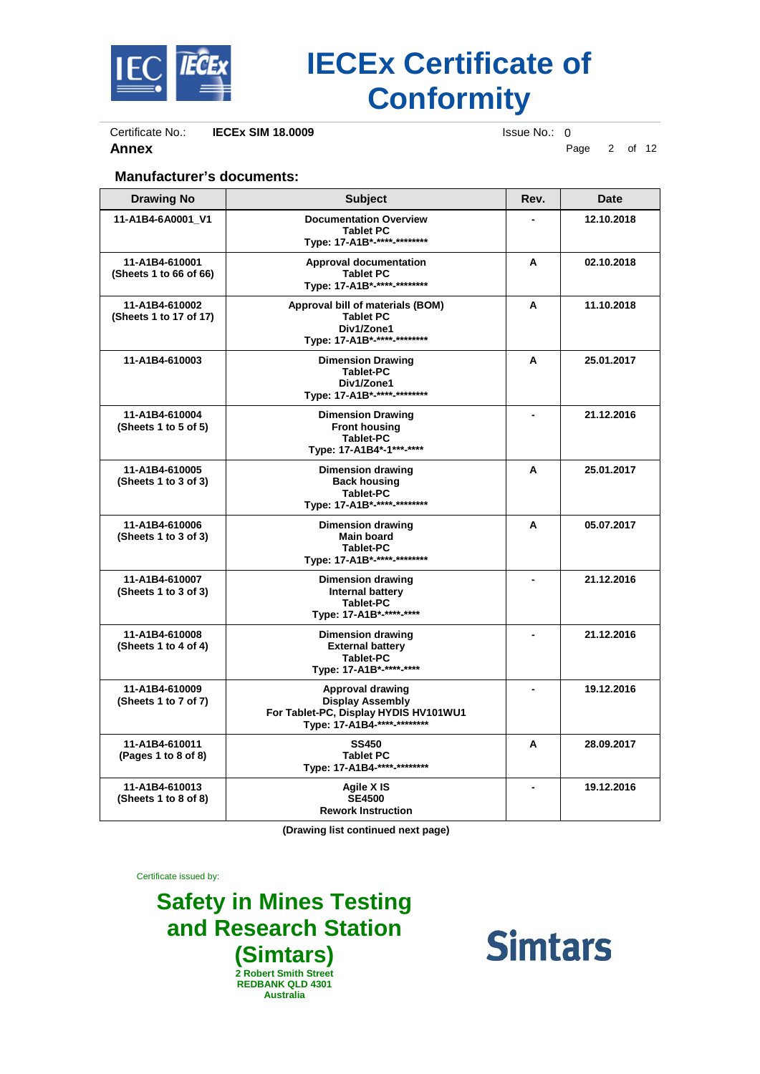

Certificate No.: **IECEx SIM 18.0009** Issue No.: 0<br>**Annex** P

**Annex** Page 2 of 12

#### **Manufacturer's documents:**

| <b>Drawing No</b>                        | <b>Subject</b>                                                                                                             | Rev. | Date       |
|------------------------------------------|----------------------------------------------------------------------------------------------------------------------------|------|------------|
| 11-A1B4-6A0001 V1                        | <b>Documentation Overview</b><br><b>Tablet PC</b><br>Type: 17-A1B*-****-********                                           |      | 12.10.2018 |
| 11-A1B4-610001<br>(Sheets 1 to 66 of 66) | <b>Approval documentation</b><br><b>Tablet PC</b><br>Type: 17-A1B *-****-*********                                         | A    | 02.10.2018 |
| 11-A1B4-610002<br>(Sheets 1 to 17 of 17) | Approval bill of materials (BOM)<br><b>Tablet PC</b><br>Div1/Zone1<br>Type: 17-A1B *-****-*********                        | A    | 11.10.2018 |
| 11-A1B4-610003                           | <b>Dimension Drawing</b><br><b>Tablet-PC</b><br>Div1/Zone1<br>Type: 17-A1B*-****-********                                  | A    | 25.01.2017 |
| 11-A1B4-610004<br>(Sheets 1 to 5 of 5)   | <b>Dimension Drawing</b><br><b>Front housing</b><br><b>Tablet-PC</b><br>Type: 17-A1B4*-1***-****                           |      | 21.12.2016 |
| 11-A1B4-610005<br>(Sheets 1 to 3 of 3)   | <b>Dimension drawing</b><br><b>Back housing</b><br><b>Tablet-PC</b><br>Type: 17-A1B*-****-********                         | A    | 25.01.2017 |
| 11-A1B4-610006<br>(Sheets 1 to 3 of 3)   | Dimension drawing<br>Main board<br><b>Tablet-PC</b><br>Type: 17-A1B*-****-********                                         | A    | 05.07.2017 |
| 11-A1B4-610007<br>(Sheets 1 to 3 of 3)   | Dimension drawing<br><b>Internal battery</b><br><b>Tablet-PC</b><br>Type: 17-A1B*-****-****                                |      | 21.12.2016 |
| 11-A1B4-610008<br>(Sheets 1 to 4 of 4)   | <b>Dimension drawing</b><br><b>External battery</b><br><b>Tablet-PC</b><br>Type: 17-A1B*-****-****                         |      | 21.12.2016 |
| 11-A1B4-610009<br>(Sheets 1 to 7 of 7)   | <b>Approval drawing</b><br><b>Display Assembly</b><br>For Tablet-PC, Display HYDIS HV101WU1<br>Type: 17-A1B4-****-******** |      | 19.12.2016 |
| 11-A1B4-610011<br>(Pages 1 to 8 of 8)    | <b>SS450</b><br><b>Tablet PC</b><br>Type: 17-A1B4-****-********                                                            | A    | 28.09.2017 |
| 11-A1B4-610013<br>(Sheets 1 to 8 of 8)   | Agile X IS<br><b>SE4500</b><br><b>Rework Instruction</b>                                                                   |      | 19.12.2016 |

**(Drawing list continued next page)**

Certificate issued by:

**Safety in Mines Testing and Research Station (Simtars) 2 Robert Smith Street REDBANK QLD 4301 Australia**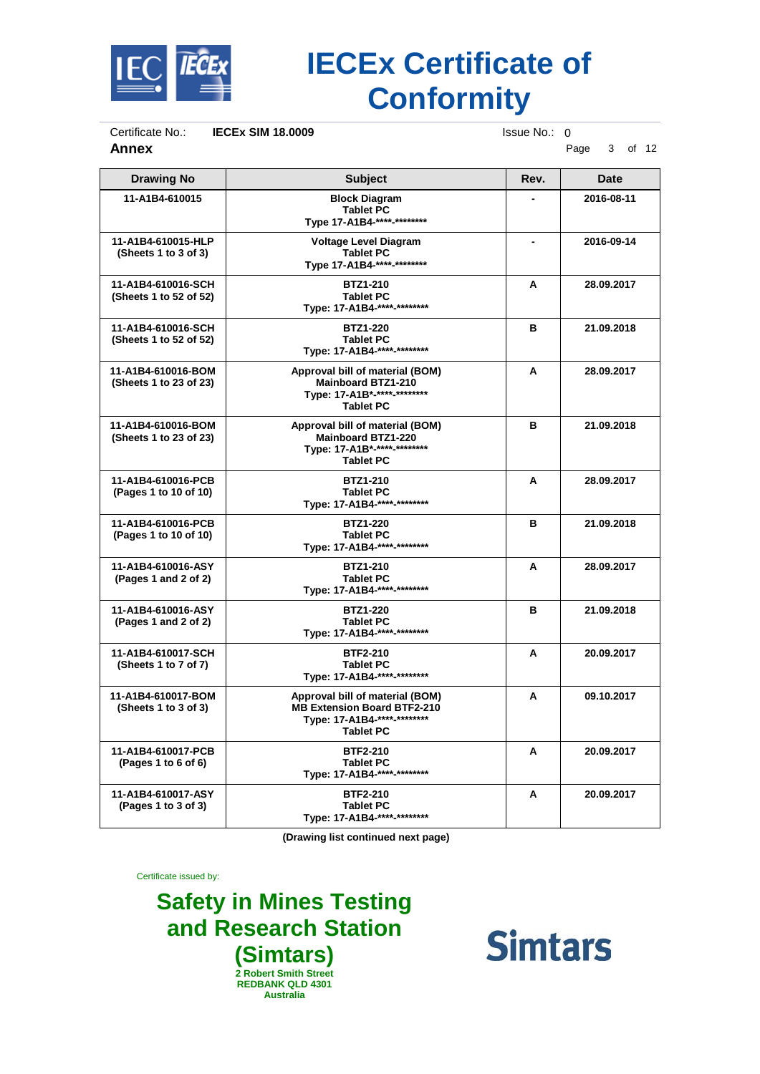

Certificate No.: **IECEx SIM 18.0009** Issue No.: 0<br>**Annex** P

**Annex** Page 3 of 12

| <b>Drawing No</b>                            | <b>Subject</b>                                                                                                           | Rev. | <b>Date</b> |
|----------------------------------------------|--------------------------------------------------------------------------------------------------------------------------|------|-------------|
| 11-A1B4-610015                               | <b>Block Diagram</b><br><b>Tablet PC</b><br>Type 17-A1B4-****-********                                                   |      | 2016-08-11  |
| 11-A1B4-610015-HLP<br>(Sheets 1 to 3 of 3)   | <b>Voltage Level Diagram</b><br><b>Tablet PC</b><br>Type 17-A1B4-****-********                                           |      | 2016-09-14  |
| 11-A1B4-610016-SCH<br>(Sheets 1 to 52 of 52) | <b>BTZ1-210</b><br><b>Tablet PC</b><br>Type: 17-A1B4-****-********                                                       | A    | 28.09.2017  |
| 11-A1B4-610016-SCH<br>(Sheets 1 to 52 of 52) | <b>BTZ1-220</b><br><b>Tablet PC</b><br>Type: 17-A1B4-****-********                                                       | в    | 21.09.2018  |
| 11-A1B4-610016-BOM<br>(Sheets 1 to 23 of 23) | Approval bill of material (BOM)<br><b>Mainboard BTZ1-210</b><br>Type: 17-A1B*-****-********<br><b>Tablet PC</b>          | A    | 28.09.2017  |
| 11-A1B4-610016-BOM<br>(Sheets 1 to 23 of 23) | Approval bill of material (BOM)<br><b>Mainboard BTZ1-220</b><br>Type: 17-A1B*-****-********<br><b>Tablet PC</b>          | в    | 21.09.2018  |
| 11-A1B4-610016-PCB<br>(Pages 1 to 10 of 10)  | <b>BTZ1-210</b><br><b>Tablet PC</b><br>Type: 17-A1B4-****-********                                                       | A    | 28.09.2017  |
| 11-A1B4-610016-PCB<br>(Pages 1 to 10 of 10)  | <b>BTZ1-220</b><br><b>Tablet PC</b><br>Type: 17-A1B4-****-********                                                       | в    | 21.09.2018  |
| 11-A1B4-610016-ASY<br>(Pages 1 and 2 of 2)   | <b>BTZ1-210</b><br><b>Tablet PC</b><br>Type: 17-A1B4-****-********                                                       | A    | 28.09.2017  |
| 11-A1B4-610016-ASY<br>(Pages 1 and 2 of 2)   | <b>BTZ1-220</b><br><b>Tablet PC</b><br>Type: 17-A1B4-****-********                                                       | в    | 21.09.2018  |
| 11-A1B4-610017-SCH<br>(Sheets 1 to 7 of 7)   | <b>BTF2-210</b><br><b>Tablet PC</b><br>Type: 17-A1B4-****-********                                                       | A    | 20.09.2017  |
| 11-A1B4-610017-BOM<br>(Sheets 1 to 3 of 3)   | Approval bill of material (BOM)<br><b>MB Extension Board BTF2-210</b><br>Type: 17-A1B4-****-********<br><b>Tablet PC</b> | A    | 09.10.2017  |
| 11-A1B4-610017-PCB<br>(Pages 1 to 6 of 6)    | <b>BTF2-210</b><br><b>Tablet PC</b><br>Type: 17-A1B4-****-********                                                       | A    | 20.09.2017  |
| 11-A1B4-610017-ASY<br>(Pages 1 to 3 of 3)    | <b>BTF2-210</b><br><b>Tablet PC</b><br>Type: 17-A1B4-****-********                                                       | A    | 20.09.2017  |

**(Drawing list continued next page)**

Certificate issued by:

**Safety in Mines Testing and Research Station (Simtars) 2 Robert Smith Street REDBANK QLD 4301 Australia**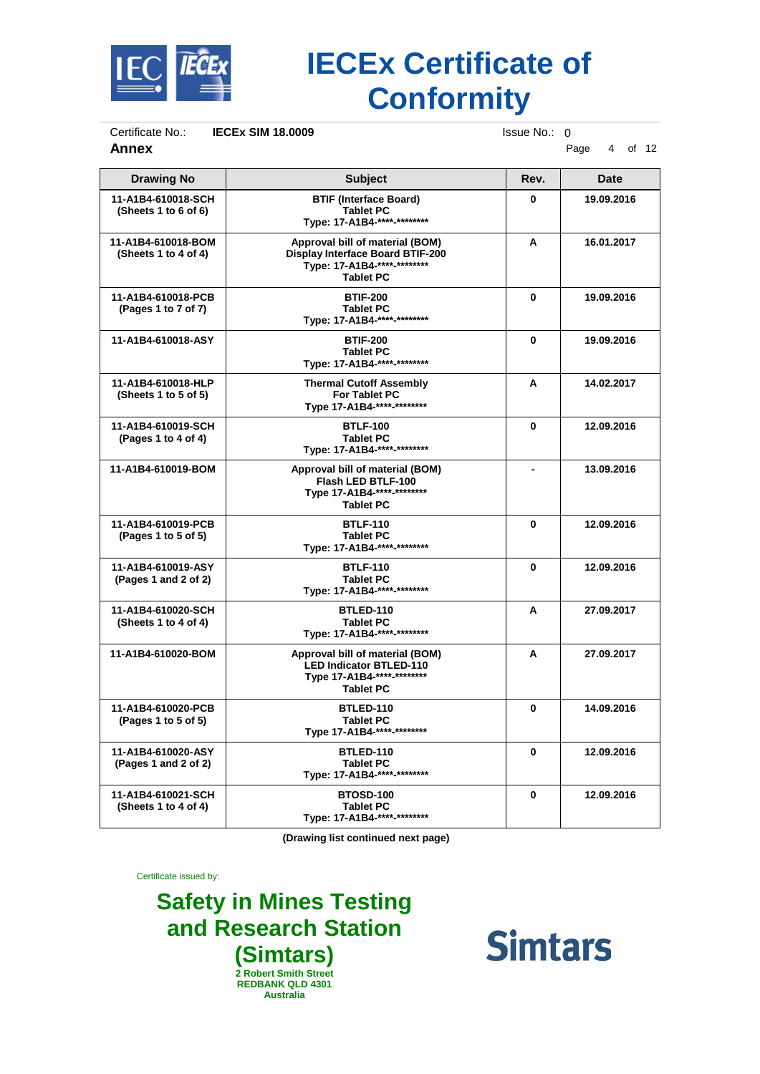

Certificate No.: **IECEx SIM 18.0009** Issue No.: 0<br>**Annex** Page **Annex** Page 4 of 12

| <b>Drawing No</b>                          | <b>Subject</b>                                                                                                                | Rev.     | <b>Date</b> |
|--------------------------------------------|-------------------------------------------------------------------------------------------------------------------------------|----------|-------------|
| 11-A1B4-610018-SCH<br>(Sheets 1 to 6 of 6) | <b>BTIF (Interface Board)</b><br><b>Tablet PC</b><br>Type: 17-A1B4-****-********                                              | 0        | 19.09.2016  |
| 11-A1B4-610018-BOM<br>(Sheets 1 to 4 of 4) | Approval bill of material (BOM)<br><b>Display Interface Board BTIF-200</b><br>Type: 17-A1B4-****-********<br><b>Tablet PC</b> | A        | 16.01.2017  |
| 11-A1B4-610018-PCB<br>(Pages 1 to 7 of 7)  | <b>BTIF-200</b><br><b>Tablet PC</b><br>Type: 17-A1B4-****-********                                                            | $\bf{0}$ | 19.09.2016  |
| 11-A1B4-610018-ASY                         | <b>BTIF-200</b><br><b>Tablet PC</b><br>Type: 17-A1B4-****-********                                                            | $\bf{0}$ | 19.09.2016  |
| 11-A1B4-610018-HLP<br>(Sheets 1 to 5 of 5) | <b>Thermal Cutoff Assembly</b><br><b>For Tablet PC</b><br>Type 17-A1B4-**** <sub>-*********</sub>                             | A        | 14.02.2017  |
| 11-A1B4-610019-SCH<br>(Pages 1 to 4 of 4)  | <b>BTLF-100</b><br><b>Tablet PC</b><br>Type: 17-A1B4-****-********                                                            | $\bf{0}$ | 12.09.2016  |
| 11-A1B4-610019-BOM                         | Approval bill of material (BOM)<br>Flash LED BTLF-100<br>Type 17-A1B4-**** <sub>-*********</sub><br><b>Tablet PC</b>          |          | 13.09.2016  |
| 11-A1B4-610019-PCB<br>(Pages 1 to 5 of 5)  | <b>BTLF-110</b><br><b>Tablet PC</b><br>Type: 17-A1B4-****-********                                                            | $\bf{0}$ | 12.09.2016  |
| 11-A1B4-610019-ASY<br>(Paqes 1 and 2 of 2) | <b>BTLF-110</b><br><b>Tablet PC</b><br>Type: 17-A1B4-**** <sub>-*********</sub>                                               | 0        | 12.09.2016  |
| 11-A1B4-610020-SCH<br>(Sheets 1 to 4 of 4) | BTLED-110<br><b>Tablet PC</b><br>Type: 17-A1B4-****-********                                                                  | A        | 27.09.2017  |
| 11-A1B4-610020-BOM                         | Approval bill of material (BOM)<br><b>LED Indicator BTLED-110</b><br>Type 17-A1B4-****-********<br><b>Tablet PC</b>           | A        | 27.09.2017  |
| 11-A1B4-610020-PCB<br>(Pages 1 to 5 of 5)  | <b>BTLED-110</b><br><b>Tablet PC</b><br>Type 17-A1B4-****-********                                                            | 0        | 14.09.2016  |
| 11-A1B4-610020-ASY<br>(Pages 1 and 2 of 2) | BTLED-110<br><b>Tablet PC</b><br>Type: 17-A1B4-****-********                                                                  | $\bf{0}$ | 12.09.2016  |
| 11-A1B4-610021-SCH<br>(Sheets 1 to 4 of 4) | <b>BTOSD-100</b><br><b>Tablet PC</b><br>Type: 17-A1B4-****-********                                                           | 0        | 12.09.2016  |

**(Drawing list continued next page)**

Certificate issued by:

**Safety in Mines Testing and Research Station (Simtars) 2 Robert Smith Street REDBANK QLD 4301 Australia**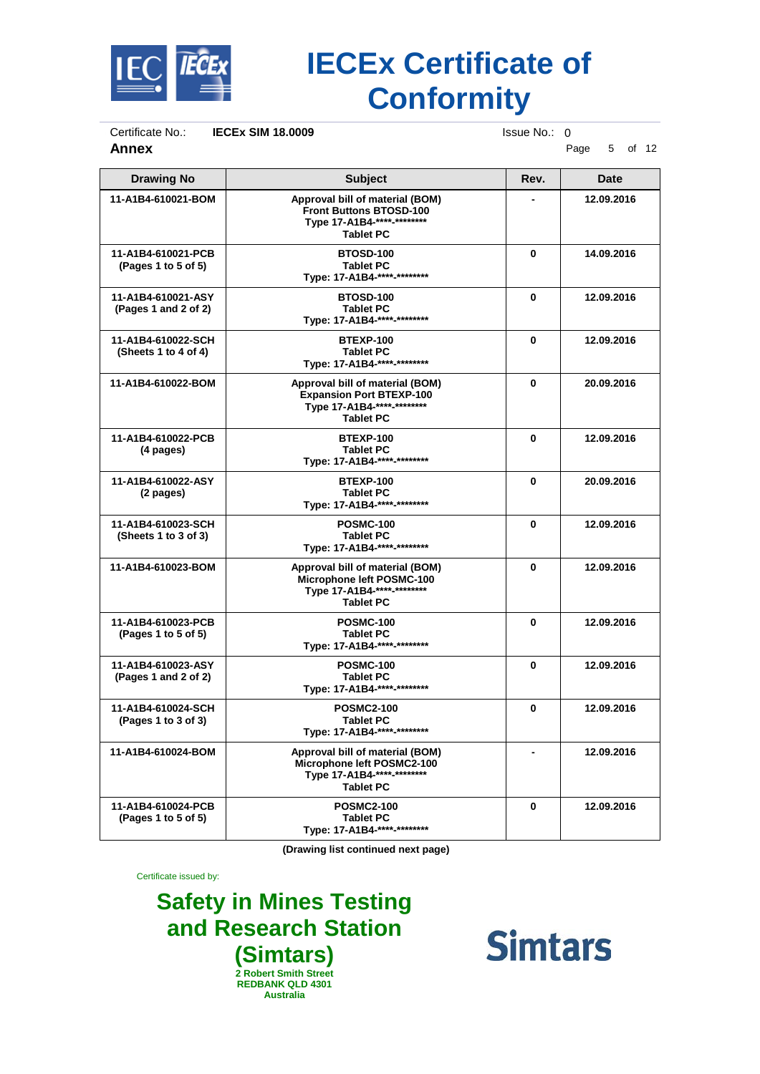

Certificate No.: **IECEx SIM 18.0009** Issue No.: 0<br>**Annex** P

**Annex** Page 5 of 12

| <b>Drawing No</b>                          | <b>Subject</b>                                                                                                       | Rev.     | <b>Date</b> |
|--------------------------------------------|----------------------------------------------------------------------------------------------------------------------|----------|-------------|
| 11-A1B4-610021-BOM                         | Approval bill of material (BOM)<br><b>Front Buttons BTOSD-100</b><br>Type 17-A1B4-****-********<br><b>Tablet PC</b>  |          | 12.09.2016  |
| 11-A1B4-610021-PCB<br>(Pages 1 to 5 of 5)  | <b>BTOSD-100</b><br><b>Tablet PC</b><br>Type: 17-A1B4-****-********                                                  | $\bf{0}$ | 14.09.2016  |
| 11-A1B4-610021-ASY<br>(Paqes 1 and 2 of 2) | <b>BTOSD-100</b><br><b>Tablet PC</b><br>Type: 17-A1B4-****-********                                                  | 0        | 12.09.2016  |
| 11-A1B4-610022-SCH<br>(Sheets 1 to 4 of 4) | <b>BTEXP-100</b><br><b>Tablet PC</b><br>Type: 17-A1B4-****-********                                                  | 0        | 12.09.2016  |
| 11-A1B4-610022-BOM                         | Approval bill of material (BOM)<br><b>Expansion Port BTEXP-100</b><br>Type 17-A1B4-****-********<br><b>Tablet PC</b> | 0        | 20.09.2016  |
| 11-A1B4-610022-PCB<br>(4 pages)            | <b>BTEXP-100</b><br><b>Tablet PC</b><br>Type: 17-A1B4-****-********                                                  | 0        | 12.09.2016  |
| 11-A1B4-610022-ASY<br>(2 pages)            | BTEXP-100<br><b>Tablet PC</b><br>Type: 17-A1B4-****-********                                                         | $\bf{0}$ | 20.09.2016  |
| 11-A1B4-610023-SCH<br>(Sheets 1 to 3 of 3) | <b>POSMC-100</b><br><b>Tablet PC</b><br>Type: 17-A1B4-****-********                                                  | 0        | 12.09.2016  |
| 11-A1B4-610023-BOM                         | Approval bill of material (BOM)<br>Microphone left POSMC-100<br>Type 17-A1B4-****-********<br><b>Tablet PC</b>       | 0        | 12.09.2016  |
| 11-A1B4-610023-PCB<br>(Pages 1 to 5 of 5)  | <b>POSMC-100</b><br><b>Tablet PC</b><br>Type: 17-A1B4-****-********                                                  | $\bf{0}$ | 12.09.2016  |
| 11-A1B4-610023-ASY<br>(Pages 1 and 2 of 2) | <b>POSMC-100</b><br><b>Tablet PC</b><br>Type: 17-A1B4-****-********                                                  | 0        | 12.09.2016  |
| 11-A1B4-610024-SCH<br>(Pages 1 to 3 of 3)  | <b>POSMC2-100</b><br><b>Tablet PC</b><br>Type: 17-A1B4-****-********                                                 | 0        | 12.09.2016  |
| 11-A1B4-610024-BOM                         | Approval bill of material (BOM)<br>Microphone left POSMC2-100<br>Type 17-A1B4-****-********<br><b>Tablet PC</b>      |          | 12.09.2016  |
| 11-A1B4-610024-PCB<br>(Pages 1 to 5 of 5)  | <b>POSMC2-100</b><br><b>Tablet PC</b><br>Type: 17-A1B4-****-********                                                 | 0        | 12.09.2016  |

**(Drawing list continued next page)**

Certificate issued by:

**Safety in Mines Testing and Research Station (Simtars) 2 Robert Smith Street REDBANK QLD 4301 Australia**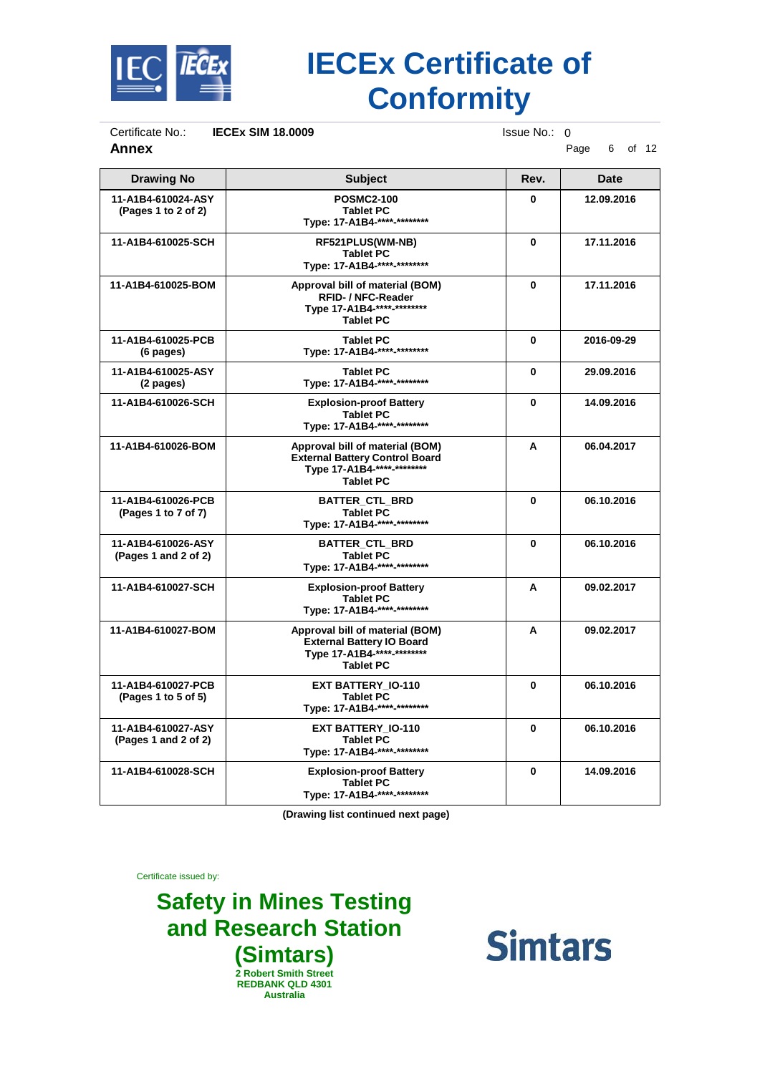

Certificate No.: **IECEx SIM 18.0009** Issue No.: 0<br>**Annex** P

**Annex** Page 6 of 12

| <b>Drawing No</b>                          | <b>Subject</b>                                                                                                             | Rev.         | <b>Date</b> |
|--------------------------------------------|----------------------------------------------------------------------------------------------------------------------------|--------------|-------------|
| 11-A1B4-610024-ASY<br>(Pages 1 to 2 of 2)  | <b>POSMC2-100</b><br><b>Tablet PC</b><br>Type: 17-A1B4-****-********                                                       | $\bf{0}$     | 12.09.2016  |
| 11-A1B4-610025-SCH                         | RF521PLUS(WM-NB)<br><b>Tablet PC</b><br>Type: 17-A1B4-****-********                                                        | $\bf{0}$     | 17.11.2016  |
| 11-A1B4-610025-BOM                         | Approval bill of material (BOM)<br><b>RFID- / NFC-Reader</b><br>Type 17-A1B4-****-********<br><b>Tablet PC</b>             | $\bf{0}$     | 17.11.2016  |
| 11-A1B4-610025-PCB<br>(6 pages)            | <b>Tablet PC</b><br>Type: 17-A1B4-****-********                                                                            | 0            | 2016-09-29  |
| 11-A1B4-610025-ASY<br>(2 pages)            | <b>Tablet PC</b><br>Type: 17-A1B4-****-********                                                                            | $\bf{0}$     | 29.09.2016  |
| 11-A1B4-610026-SCH                         | <b>Explosion-proof Battery</b><br><b>Tablet PC</b><br>Type: 17-A1B4-****-********                                          | $\mathbf{0}$ | 14.09.2016  |
| 11-A1B4-610026-BOM                         | Approval bill of material (BOM)<br><b>External Battery Control Board</b><br>Type 17-A1B4-****-********<br><b>Tablet PC</b> | A            | 06.04.2017  |
| 11-A1B4-610026-PCB<br>(Pages 1 to 7 of 7)  | <b>BATTER_CTL_BRD</b><br><b>Tablet PC</b><br>Type: 17-A1B4-****-********                                                   | $\bf{0}$     | 06.10.2016  |
| 11-A1B4-610026-ASY<br>(Pages 1 and 2 of 2) | <b>BATTER_CTL_BRD</b><br><b>Tablet PC</b><br>Type: 17-A1B4-****-********                                                   | $\bf{0}$     | 06.10.2016  |
| 11-A1B4-610027-SCH                         | <b>Explosion-proof Battery</b><br><b>Tablet PC</b><br>Type: 17-A1B4-****-********                                          | A            | 09.02.2017  |
| 11-A1B4-610027-BOM                         | Approval bill of material (BOM)<br><b>External Battery IO Board</b><br>Type 17-A1B4-****-********<br><b>Tablet PC</b>      | A            | 09.02.2017  |
| 11-A1B4-610027-PCB<br>(Pages 1 to 5 of 5)  | <b>EXT BATTERY 10-110</b><br><b>Tablet PC</b><br>Type: 17-A1B4-****-********                                               | $\bf{0}$     | 06.10.2016  |
| 11-A1B4-610027-ASY<br>(Pages 1 and 2 of 2) | EXT BATTERY_IO-110<br><b>Tablet PC</b><br>Type: 17-A1B4-****-********                                                      | $\bf{0}$     | 06.10.2016  |
| 11-A1B4-610028-SCH                         | <b>Explosion-proof Battery</b><br><b>Tablet PC</b><br>Type: 17-A1B4-****-********                                          | $\bf{0}$     | 14.09.2016  |

**(Drawing list continued next page)**

Certificate issued by:

**Safety in Mines Testing and Research Station (Simtars) 2 Robert Smith Street REDBANK QLD 4301 Australia**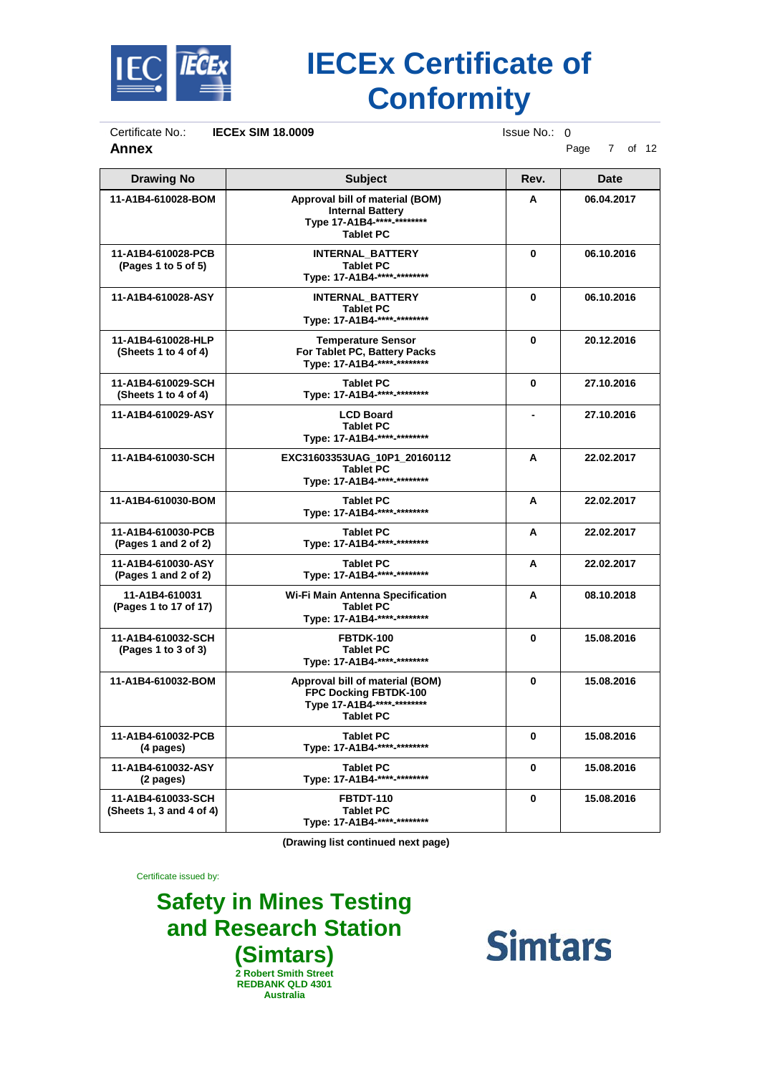

Certificate No.: **IECEx SIM 18.0009** Issue No.: 0<br>**Annex** P

**Annex** Page 7 of 12

| <b>Drawing No</b>                              | <b>Subject</b>                                                                                                            | Rev.         | <b>Date</b> |
|------------------------------------------------|---------------------------------------------------------------------------------------------------------------------------|--------------|-------------|
| 11-A1B4-610028-BOM                             | Approval bill of material (BOM)<br><b>Internal Battery</b><br>Type 17-A1B4-**** <sub>-*********</sub><br><b>Tablet PC</b> | A            | 06.04.2017  |
| 11-A1B4-610028-PCB<br>(Pages 1 to 5 of 5)      | <b>INTERNAL BATTERY</b><br><b>Tablet PC</b><br>Type: 17-A1B4-****-********                                                | $\bf{0}$     | 06.10.2016  |
| 11-A1B4-610028-ASY                             | <b>INTERNAL BATTERY</b><br><b>Tablet PC</b><br>Type: 17-A1B4-****-********                                                | $\bf{0}$     | 06.10.2016  |
| 11-A1B4-610028-HLP<br>(Sheets 1 to 4 of 4)     | <b>Temperature Sensor</b><br>For Tablet PC, Battery Packs<br>Type: 17-A1B4-****-********                                  | $\bf{0}$     | 20.12.2016  |
| 11-A1B4-610029-SCH<br>(Sheets 1 to 4 of 4)     | <b>Tablet PC</b><br>Type: 17-A1B4-****-********                                                                           | $\mathbf{0}$ | 27.10.2016  |
| 11-A1B4-610029-ASY                             | <b>LCD Board</b><br><b>Tablet PC</b><br>Type: 17-A1B4-****-********                                                       |              | 27.10.2016  |
| 11-A1B4-610030-SCH                             | EXC31603353UAG_10P1_20160112<br><b>Tablet PC</b><br>Type: 17-A1B4-****-********                                           | A            | 22.02.2017  |
| 11-A1B4-610030-BOM                             | <b>Tablet PC</b><br>Type: 17-A1B4-****-*********                                                                          | A            | 22.02.2017  |
| 11-A1B4-610030-PCB<br>(Paqes 1 and 2 of 2)     | <b>Tablet PC</b><br>Type: 17-A1B4-****-********                                                                           | A            | 22.02.2017  |
| 11-A1B4-610030-ASY<br>(Pages 1 and 2 of 2)     | <b>Tablet PC</b><br>Type: 17-A1B4-****-********                                                                           | A            | 22.02.2017  |
| 11-A1B4-610031<br>(Pages 1 to 17 of 17)        | Wi-Fi Main Antenna Specification<br><b>Tablet PC</b><br>Type: 17-A1B4-****-********                                       | A            | 08.10.2018  |
| 11-A1B4-610032-SCH<br>(Pages 1 to 3 of 3)      | <b>FBTDK-100</b><br><b>Tablet PC</b><br>Type: 17-A1B4-****-********                                                       | $\bf{0}$     | 15.08.2016  |
| 11-A1B4-610032-BOM                             | Approval bill of material (BOM)<br>FPC Docking FBTDK-100<br>Type 17-A1B4-****-********<br><b>Tablet PC</b>                | $\bf{0}$     | 15.08.2016  |
| 11-A1B4-610032-PCB<br>(4 pages)                | <b>Tablet PC</b><br>Type: 17-A1B4-****-********                                                                           | $\bf{0}$     | 15.08.2016  |
| 11-A1B4-610032-ASY<br>(2 pages)                | <b>Tablet PC</b><br>Type: 17-A1B4-****-*********                                                                          | $\bf{0}$     | 15.08.2016  |
| 11-A1B4-610033-SCH<br>(Sheets 1, 3 and 4 of 4) | <b>FBTDT-110</b><br><b>Tablet PC</b><br>Type: 17-A1B4-**** <sub>-*********</sub>                                          | $\bf{0}$     | 15.08.2016  |

**(Drawing list continued next page)**

Certificate issued by:

**Safety in Mines Testing and Research Station (Simtars) 2 Robert Smith Street REDBANK QLD 4301 Australia**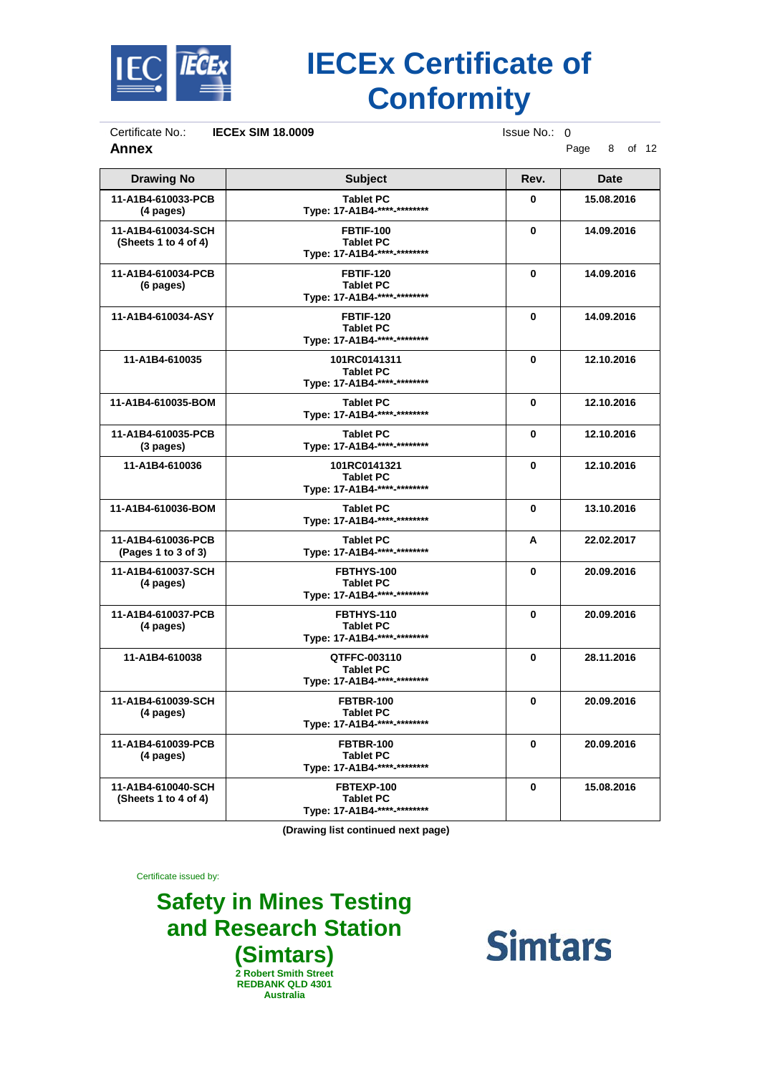

Certificate No.: **IECEx SIM 18.0009** Issue No.: 0<br>**Annex** P

**Annex** Page 8 of 12

| <b>Drawing No</b>                          | <b>Subject</b>                                                      | Rev.         | <b>Date</b> |
|--------------------------------------------|---------------------------------------------------------------------|--------------|-------------|
| 11-A1B4-610033-PCB<br>(4 pages)            | <b>Tablet PC</b><br>Type: 17-A1B4-****-********                     | $\mathbf{0}$ | 15.08.2016  |
| 11-A1B4-610034-SCH<br>(Sheets 1 to 4 of 4) | <b>FBTIF-100</b><br><b>Tablet PC</b><br>Type: 17-A1B4-****-******** | $\bf{0}$     | 14.09.2016  |
| 11-A1B4-610034-PCB<br>(6 pages)            | <b>FBTIF-120</b><br><b>Tablet PC</b><br>Type: 17-A1B4-****-******** | $\bf{0}$     | 14.09.2016  |
| 11-A1B4-610034-ASY                         | <b>FBTIF-120</b><br><b>Tablet PC</b><br>Type: 17-A1B4-****-******** | 0            | 14.09.2016  |
| 11-A1B4-610035                             | 101RC0141311<br><b>Tablet PC</b><br>Type: 17-A1B4-****-********     | $\mathbf{0}$ | 12.10.2016  |
| 11-A1B4-610035-BOM                         | <b>Tablet PC</b><br>Type: 17-A1B4-****-********                     | $\bf{0}$     | 12.10.2016  |
| 11-A1B4-610035-PCB<br>$(3$ pages)          | <b>Tablet PC</b><br>Type: 17-A1B4-****-********                     | $\mathbf{0}$ | 12.10.2016  |
| 11-A1B4-610036                             | 101RC0141321<br><b>Tablet PC</b><br>Type: 17-A1B4-****-*********    | 0            | 12.10.2016  |
| 11-A1B4-610036-BOM                         | <b>Tablet PC</b><br>Type: 17-A1B4-****-********                     | $\mathbf{0}$ | 13.10.2016  |
| 11-A1B4-610036-PCB<br>(Pages 1 to 3 of 3)  | <b>Tablet PC</b><br>Type: 17-A1B4-****-********                     | A            | 22.02.2017  |
| 11-A1B4-610037-SCH<br>(4 pages)            | FBTHYS-100<br><b>Tablet PC</b><br>Type: 17-A1B4-****-********       | $\mathbf{0}$ | 20.09.2016  |
| 11-A1B4-610037-PCB<br>(4 pages)            | FBTHYS-110<br><b>Tablet PC</b><br>Type: 17-A1B4-****-********       | $\bf{0}$     | 20.09.2016  |
| 11-A1B4-610038                             | QTFFC-003110<br><b>Tablet PC</b><br>Type: 17-A1B4-****-********     | $\bf{0}$     | 28.11.2016  |
| 11-A1B4-610039-SCH<br>(4 pages)            | <b>FBTBR-100</b><br><b>Tablet PC</b><br>Type: 17-A1B4-****-******** | $\bf{0}$     | 20.09.2016  |
| 11-A1B4-610039-PCB<br>(4 pages)            | <b>FBTBR-100</b><br><b>Tablet PC</b><br>Type: 17-A1B4-****-******** | 0            | 20.09.2016  |
| 11-A1B4-610040-SCH<br>(Sheets 1 to 4 of 4) | FBTEXP-100<br><b>Tablet PC</b><br>Type: 17-A1B4-****-********       | $\bf{0}$     | 15.08.2016  |

**(Drawing list continued next page)**

Certificate issued by:

**Safety in Mines Testing and Research Station (Simtars) 2 Robert Smith Street REDBANK QLD 4301 Australia**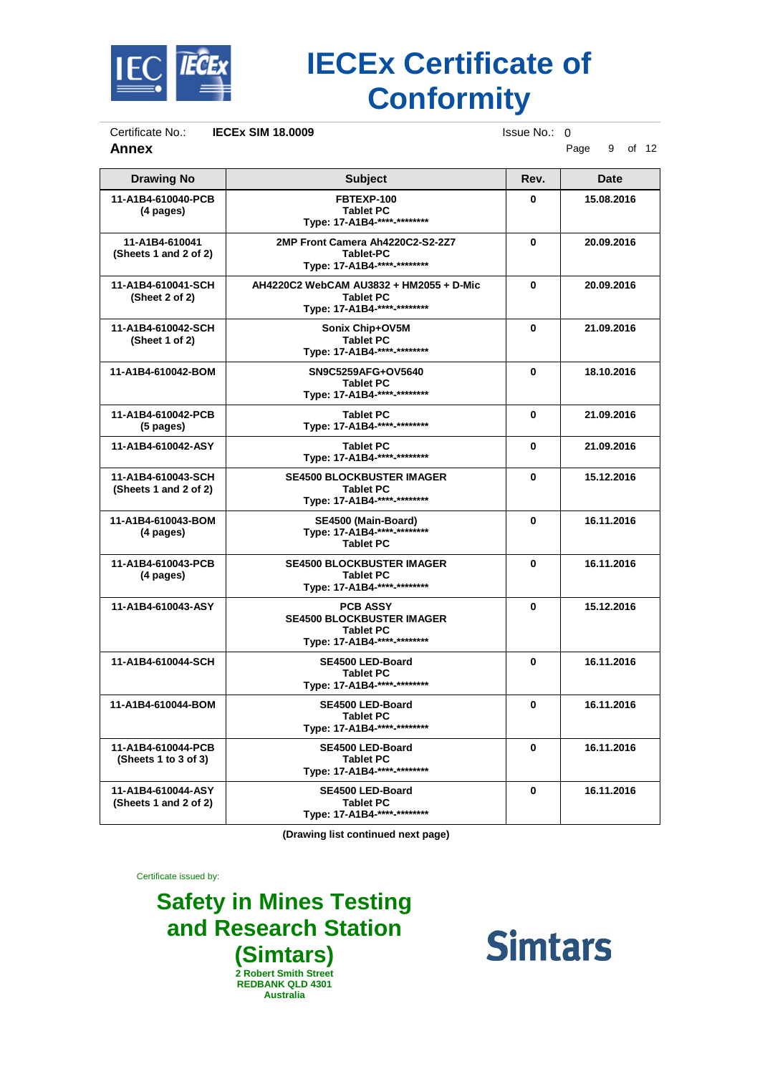

Certificate No.: **IECEx SIM 18.0009** Issue No.: 0<br>**Annex** P

**Annex** Page 9 of 12

| <b>Drawing No</b>                           | <b>Subject</b>                                                                                         | Rev.         | <b>Date</b> |
|---------------------------------------------|--------------------------------------------------------------------------------------------------------|--------------|-------------|
| 11-A1B4-610040-PCB<br>(4 pages)             | FBTEXP-100<br><b>Tablet PC</b><br>Type: 17-A1B4-****-********                                          | $\mathbf{0}$ | 15.08.2016  |
| 11-A1B4-610041<br>(Sheets 1 and 2 of 2)     | 2MP Front Camera Ah4220C2-S2-2Z7<br>Tablet-PC<br>Type: 17-A1B4-****-********                           | $\mathbf{0}$ | 20.09.2016  |
| 11-A1B4-610041-SCH<br>(Sheet 2 of 2)        | AH4220C2 WebCAM AU3832 + HM2055 + D-Mic<br><b>Tablet PC</b><br>Type: 17-A1B4-****-********             | $\mathbf{0}$ | 20.09.2016  |
| 11-A1B4-610042-SCH<br>(Sheet 1 of 2)        | Sonix Chip+OV5M<br><b>Tablet PC</b><br>Type: 17-A1B4-****-********                                     | 0            | 21.09.2016  |
| 11-A1B4-610042-BOM                          | SN9C5259AFG+OV5640<br><b>Tablet PC</b><br>Type: 17-A1B4-****-********                                  | 0            | 18.10.2016  |
| 11-A1B4-610042-PCB<br>$(5$ pages)           | <b>Tablet PC</b><br>Type: 17-A1B4-****-********                                                        | 0            | 21.09.2016  |
| 11-A1B4-610042-ASY                          | <b>Tablet PC</b><br>Type: 17-A1B4-****-********                                                        | 0            | 21.09.2016  |
| 11-A1B4-610043-SCH<br>(Sheets 1 and 2 of 2) | <b>SE4500 BLOCKBUSTER IMAGER</b><br><b>Tablet PC</b><br>Type: 17-A1B4-****-********                    | 0            | 15.12.2016  |
| 11-A1B4-610043-BOM<br>(4 pages)             | SE4500 (Main-Board)<br>Type: 17-A1B4-****-********<br><b>Tablet PC</b>                                 | 0            | 16.11.2016  |
| 11-A1B4-610043-PCB<br>(4 pages)             | <b>SE4500 BLOCKBUSTER IMAGER</b><br><b>Tablet PC</b><br>Type: 17-A1B4-****-********                    | $\bf{0}$     | 16.11.2016  |
| 11-A1B4-610043-ASY                          | <b>PCB ASSY</b><br><b>SE4500 BLOCKBUSTER IMAGER</b><br><b>Tablet PC</b><br>Type: 17-A1B4-****-******** | $\mathbf{0}$ | 15.12.2016  |
| 11-A1B4-610044-SCH                          | SE4500 LED-Board<br><b>Tablet PC</b><br>Type: 17-A1B4-****-********                                    | 0            | 16.11.2016  |
| 11-A1B4-610044-BOM                          | SE4500 LED-Board<br><b>Tablet PC</b><br>Type: 17-A1B4-****-********                                    | $\bf{0}$     | 16.11.2016  |
| 11-A1B4-610044-PCB<br>(Sheets 1 to 3 of 3)  | SE4500 LED-Board<br><b>Tablet PC</b><br>Type: 17-A1B4-****-********                                    | 0            | 16.11.2016  |
| 11-A1B4-610044-ASY<br>(Sheets 1 and 2 of 2) | SE4500 LED-Board<br><b>Tablet PC</b><br>Type: 17-A1B4-****-********                                    | 0            | 16.11.2016  |

**(Drawing list continued next page)**

Certificate issued by:

**Safety in Mines Testing and Research Station (Simtars) 2 Robert Smith Street REDBANK QLD 4301 Australia**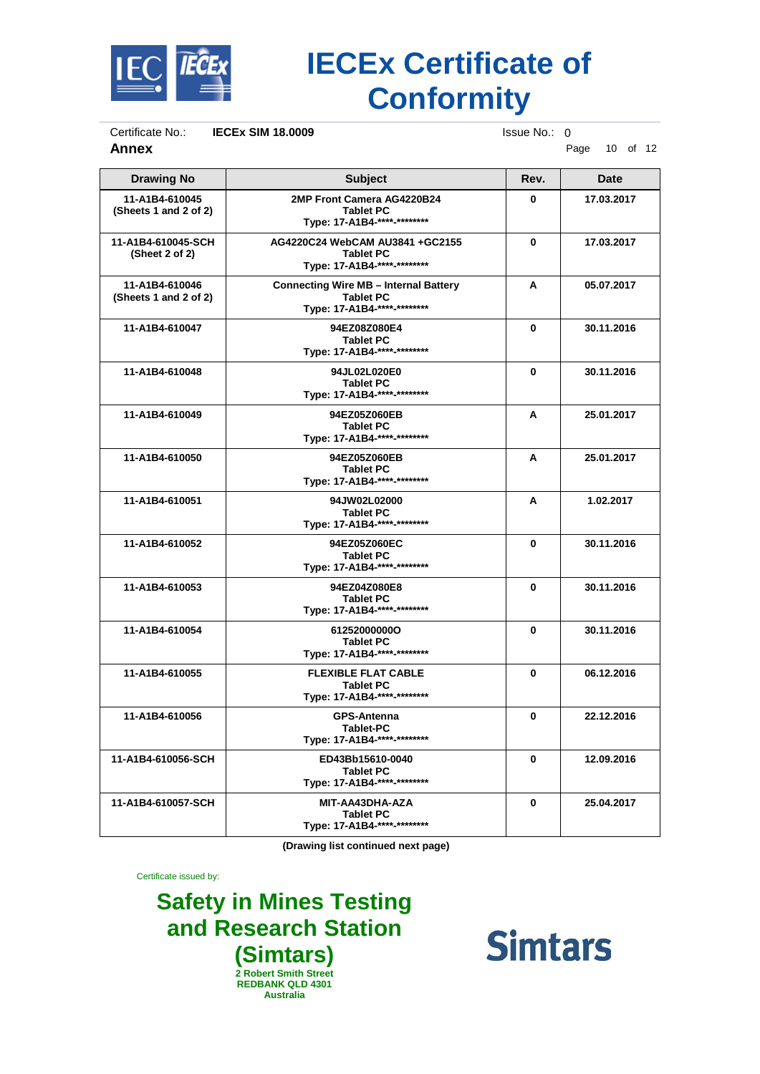

Certificate No.: **IECEx SIM 18.0009** Issue No.: 0<br>**Annex** P

**Annex** Page 10 of 12

| <b>Drawing No</b>                       | <b>Subject</b>                                                                                  | Rev.     | <b>Date</b> |
|-----------------------------------------|-------------------------------------------------------------------------------------------------|----------|-------------|
| 11-A1B4-610045<br>(Sheets 1 and 2 of 2) | 2MP Front Camera AG4220B24<br><b>Tablet PC</b><br>Type: 17-A1B4-****-********                   | O        | 17.03.2017  |
| 11-A1B4-610045-SCH<br>(Sheet 2 of 2)    | AG4220C24 WebCAM AU3841 + GC2155<br><b>Tablet PC</b><br>Type: 17-A1B4-****-********             | $\bf{0}$ | 17.03.2017  |
| 11-A1B4-610046<br>(Sheets 1 and 2 of 2) | <b>Connecting Wire MB - Internal Battery</b><br><b>Tablet PC</b><br>Type: 17-A1B4-****-******** | A        | 05.07.2017  |
| 11-A1B4-610047                          | 94EZ08Z080E4<br><b>Tablet PC</b><br>Type: 17-A1B4-****-********                                 | 0        | 30.11.2016  |
| 11-A1B4-610048                          | 94JL02L020E0<br><b>Tablet PC</b><br>Type: 17-A1B4-****-********                                 | $\bf{0}$ | 30.11.2016  |
| 11-A1B4-610049                          | 94EZ05Z060EB<br><b>Tablet PC</b><br>Type: 17-A1B4-**** <sub>-*********</sub>                    | A        | 25.01.2017  |
| 11-A1B4-610050                          | 94EZ05Z060EB<br><b>Tablet PC</b><br>Type: 17-A1B4-****-********                                 | A        | 25.01.2017  |
| 11-A1B4-610051                          | 94JW02L02000<br><b>Tablet PC</b><br>Type: 17-A1B4-****-********                                 | A        | 1.02.2017   |
| 11-A1B4-610052                          | 94EZ05Z060EC<br><b>Tablet PC</b><br>Type: 17-A1B4-**** <sub>-*********</sub>                    | $\bf{0}$ | 30.11.2016  |
| 11-A1B4-610053                          | 94EZ04Z080E8<br><b>Tablet PC</b><br>Type: 17-A1B4-**** <sub>-*********</sub>                    | 0        | 30.11.2016  |
| 11-A1B4-610054                          | 612520000000<br><b>Tablet PC</b><br>Type: 17-A1B4-****-********                                 | 0        | 30.11.2016  |
| 11-A1B4-610055                          | <b>FLEXIBLE FLAT CABLE</b><br><b>Tablet PC</b><br>Type: 17-A1B4-****-********                   | 0        | 06.12.2016  |
| 11-A1B4-610056                          | <b>GPS-Antenna</b><br>Tablet-PC<br>Type: 17-A1B4-****-********                                  | 0        | 22.12.2016  |
| 11-A1B4-610056-SCH                      | ED43Bb15610-0040<br><b>Tablet PC</b><br>Type: 17-A1B4-****-********                             | 0        | 12.09.2016  |
| 11-A1B4-610057-SCH                      | MIT-AA43DHA-AZA<br><b>Tablet PC</b><br>Type: 17-A1B4-****-********                              | 0        | 25.04.2017  |

**(Drawing list continued next page)**

Certificate issued by:

**Safety in Mines Testing and Research Station (Simtars) 2 Robert Smith Street REDBANK QLD 4301 Australia**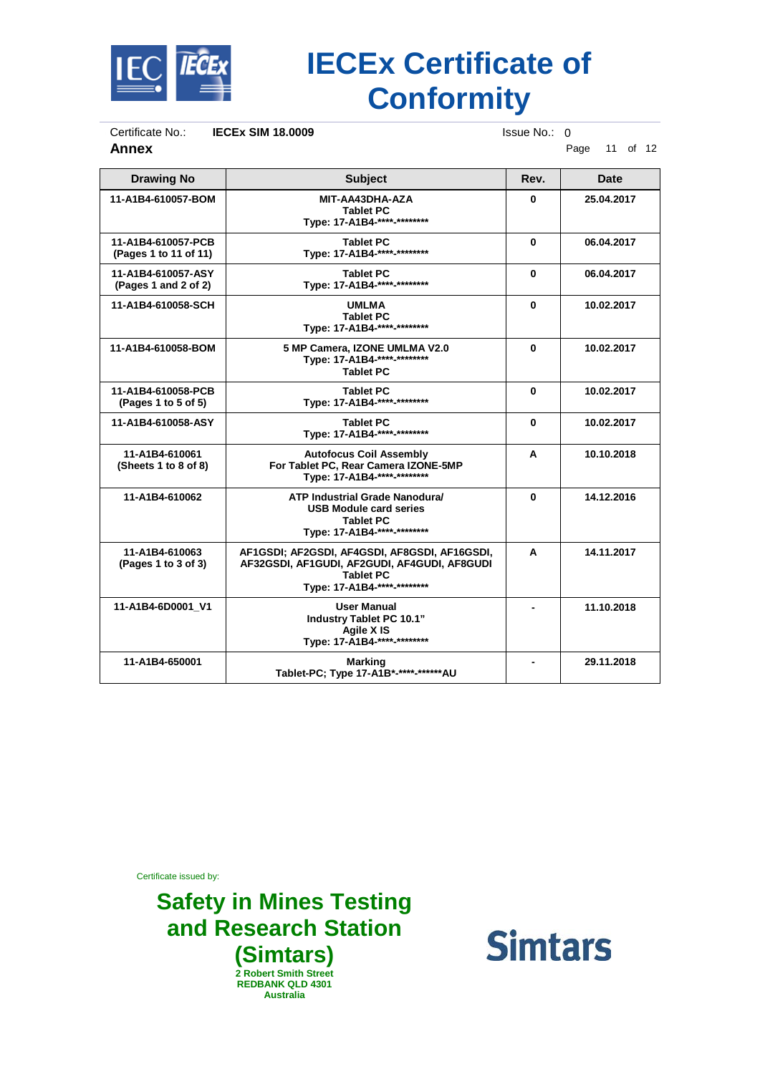

Certificate No.: **IECEx SIM 18.0009** Issue No.: 0<br>**Annex** P

**Annex** Page 11 of 12

| <b>Drawing No</b>                           | <b>Subject</b>                                                                                                                                   | Rev.     | Date       |
|---------------------------------------------|--------------------------------------------------------------------------------------------------------------------------------------------------|----------|------------|
| 11-A1B4-610057-BOM                          | MIT-AA43DHA-AZA<br><b>Tablet PC</b><br>Type: 17-A1B4-**** <sub>-*********</sub>                                                                  | O.       | 25.04.2017 |
| 11-A1B4-610057-PCB<br>(Pages 1 to 11 of 11) | <b>Tablet PC</b><br>Type: 17-A1B4-****-********                                                                                                  | 0        | 06.04.2017 |
| 11-A1B4-610057-ASY<br>(Pages 1 and 2 of 2)  | <b>Tablet PC</b><br>Type: 17-A1B4-****-********                                                                                                  | 0        | 06.04.2017 |
| 11-A1B4-610058-SCH                          | <b>UMLMA</b><br><b>Tablet PC</b><br>Type: 17-A1B4-****-********                                                                                  | 0        | 10.02.2017 |
| 11-A1B4-610058-BOM                          | 5 MP Camera, IZONE UMLMA V2.0<br>Type: 17-A1B4-****-********<br><b>Tablet PC</b>                                                                 | $\bf{0}$ | 10.02.2017 |
| 11-A1B4-610058-PCB<br>(Pages 1 to 5 of 5)   | <b>Tablet PC</b><br>Type: 17-A1B4-****-********                                                                                                  | 0        | 10.02.2017 |
| 11-A1B4-610058-ASY                          | <b>Tablet PC</b><br>Type: 17-A1B4-****-********                                                                                                  | 0        | 10.02.2017 |
| 11-A1B4-610061<br>(Sheets 1 to 8 of 8)      | <b>Autofocus Coil Assembly</b><br>For Tablet PC, Rear Camera IZONE-5MP<br>Tvpe: 17-A1B4-****-********                                            | A        | 10.10.2018 |
| 11-A1B4-610062                              | <b>ATP Industrial Grade Nanodural</b><br><b>USB Module card series</b><br><b>Tablet PC</b><br>Type: 17-A1B4-****-********                        | $\bf{0}$ | 14.12.2016 |
| 11-A1B4-610063<br>(Pages 1 to 3 of 3)       | AF1GSDI; AF2GSDI, AF4GSDI, AF8GSDI, AF16GSDI,<br>AF32GSDI, AF1GUDI, AF2GUDI, AF4GUDI, AF8GUDI<br><b>Tablet PC</b><br>Type: 17-A1B4-****-******** | A        | 14.11.2017 |
| 11-A1B4-6D0001 V1                           | User Manual<br>Industry Tablet PC 10.1"<br>Agile X IS<br>Type: 17-A1B4-****-********                                                             |          | 11.10.2018 |
| 11-A1B4-650001                              | <b>Marking</b><br>Tablet-PC; Type 17-A1B*-****-******AU                                                                                          |          | 29.11.2018 |

Certificate issued by:

#### **Safety in Mines Testing and Research Station (Simtars) 2 Robert Smith Street REDBANK QLD 4301 Australia**